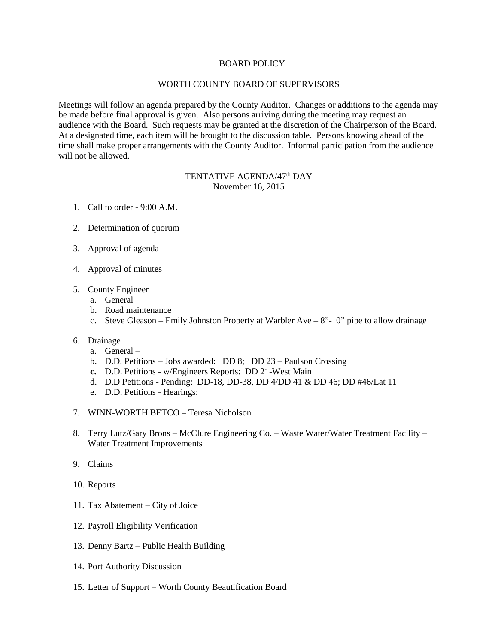## BOARD POLICY

## WORTH COUNTY BOARD OF SUPERVISORS

Meetings will follow an agenda prepared by the County Auditor. Changes or additions to the agenda may be made before final approval is given. Also persons arriving during the meeting may request an audience with the Board. Such requests may be granted at the discretion of the Chairperson of the Board. At a designated time, each item will be brought to the discussion table. Persons knowing ahead of the time shall make proper arrangements with the County Auditor. Informal participation from the audience will not be allowed.

## TENTATIVE AGENDA/47<sup>th</sup> DAY November 16, 2015

- 1. Call to order 9:00 A.M.
- 2. Determination of quorum
- 3. Approval of agenda
- 4. Approval of minutes
- 5. County Engineer
	- a. General
	- b. Road maintenance
	- c. Steve Gleason Emily Johnston Property at Warbler Ave 8"-10" pipe to allow drainage
- 6. Drainage
	- a. General –
	- b. D.D. Petitions Jobs awarded: DD 8; DD 23 Paulson Crossing
	- **c.** D.D. Petitions w/Engineers Reports: DD 21-West Main
	- d. D.D Petitions Pending: DD-18, DD-38, DD 4/DD 41 & DD 46; DD #46/Lat 11
	- e. D.D. Petitions Hearings:
- 7. WINN-WORTH BETCO Teresa Nicholson
- 8. Terry Lutz/Gary Brons McClure Engineering Co. Waste Water/Water Treatment Facility Water Treatment Improvements
- 9. Claims
- 10. Reports
- 11. Tax Abatement City of Joice
- 12. Payroll Eligibility Verification
- 13. Denny Bartz Public Health Building
- 14. Port Authority Discussion
- 15. Letter of Support Worth County Beautification Board